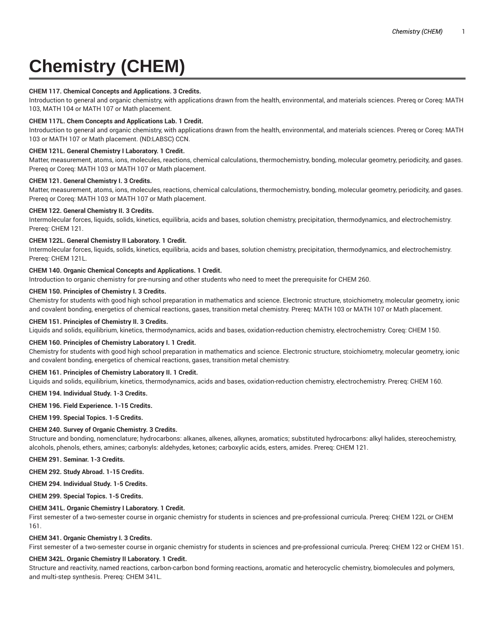# **Chemistry (CHEM)**

## **CHEM 117. Chemical Concepts and Applications. 3 Credits.**

Introduction to general and organic chemistry, with applications drawn from the health, environmental, and materials sciences. Prereq or Coreq: MATH 103, MATH 104 or MATH 107 or Math placement.

## **CHEM 117L. Chem Concepts and Applications Lab. 1 Credit.**

Introduction to general and organic chemistry, with applications drawn from the health, environmental, and materials sciences. Prereq or Coreq: MATH 103 or MATH 107 or Math placement. (ND:LABSC) CCN.

## **CHEM 121L. General Chemistry I Laboratory. 1 Credit.**

Matter, measurement, atoms, ions, molecules, reactions, chemical calculations, thermochemistry, bonding, molecular geometry, periodicity, and gases. Prereq or Coreq: MATH 103 or MATH 107 or Math placement.

## **CHEM 121. General Chemistry I. 3 Credits.**

Matter, measurement, atoms, ions, molecules, reactions, chemical calculations, thermochemistry, bonding, molecular geometry, periodicity, and gases. Prereq or Coreq: MATH 103 or MATH 107 or Math placement.

## **CHEM 122. General Chemistry II. 3 Credits.**

Intermolecular forces, liquids, solids, kinetics, equilibria, acids and bases, solution chemistry, precipitation, thermodynamics, and electrochemistry. Prereq: CHEM 121.

## **CHEM 122L. General Chemistry II Laboratory. 1 Credit.**

Intermolecular forces, liquids, solids, kinetics, equilibria, acids and bases, solution chemistry, precipitation, thermodynamics, and electrochemistry. Prereq: CHEM 121L.

## **CHEM 140. Organic Chemical Concepts and Applications. 1 Credit.**

Introduction to organic chemistry for pre-nursing and other students who need to meet the prerequisite for CHEM 260.

## **CHEM 150. Principles of Chemistry I. 3 Credits.**

Chemistry for students with good high school preparation in mathematics and science. Electronic structure, stoichiometry, molecular geometry, ionic and covalent bonding, energetics of chemical reactions, gases, transition metal chemistry. Prereq: MATH 103 or MATH 107 or Math placement.

#### **CHEM 151. Principles of Chemistry II. 3 Credits.**

Liquids and solids, equilibrium, kinetics, thermodynamics, acids and bases, oxidation-reduction chemistry, electrochemistry. Coreq: CHEM 150.

# **CHEM 160. Principles of Chemistry Laboratory I. 1 Credit.**

Chemistry for students with good high school preparation in mathematics and science. Electronic structure, stoichiometry, molecular geometry, ionic and covalent bonding, energetics of chemical reactions, gases, transition metal chemistry.

## **CHEM 161. Principles of Chemistry Laboratory II. 1 Credit.**

Liquids and solids, equilibrium, kinetics, thermodynamics, acids and bases, oxidation-reduction chemistry, electrochemistry. Prereq: CHEM 160.

#### **CHEM 194. Individual Study. 1-3 Credits.**

#### **CHEM 196. Field Experience. 1-15 Credits.**

**CHEM 199. Special Topics. 1-5 Credits.**

## **CHEM 240. Survey of Organic Chemistry. 3 Credits.**

Structure and bonding, nomenclature; hydrocarbons: alkanes, alkenes, alkynes, aromatics; substituted hydrocarbons: alkyl halides, stereochemistry, alcohols, phenols, ethers, amines; carbonyls: aldehydes, ketones; carboxylic acids, esters, amides. Prereq: CHEM 121.

**CHEM 291. Seminar. 1-3 Credits.**

**CHEM 292. Study Abroad. 1-15 Credits.**

**CHEM 294. Individual Study. 1-5 Credits.**

**CHEM 299. Special Topics. 1-5 Credits.**

## **CHEM 341L. Organic Chemistry I Laboratory. 1 Credit.**

First semester of a two-semester course in organic chemistry for students in sciences and pre-professional curricula. Prereq: CHEM 122L or CHEM 161.

#### **CHEM 341. Organic Chemistry I. 3 Credits.**

First semester of a two-semester course in organic chemistry for students in sciences and pre-professional curricula. Prereq: CHEM 122 or CHEM 151.

## **CHEM 342L. Organic Chemistry II Laboratory. 1 Credit.**

Structure and reactivity, named reactions, carbon-carbon bond forming reactions, aromatic and heterocyclic chemistry, biomolecules and polymers, and multi-step synthesis. Prereq: CHEM 341L.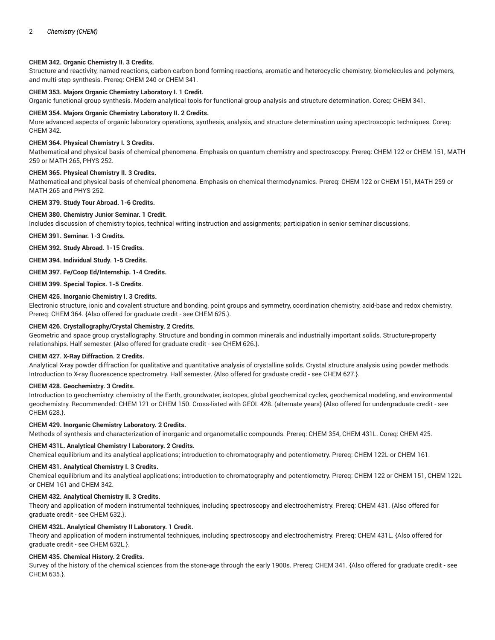## **CHEM 342. Organic Chemistry II. 3 Credits.**

Structure and reactivity, named reactions, carbon-carbon bond forming reactions, aromatic and heterocyclic chemistry, biomolecules and polymers, and multi-step synthesis. Prereq: CHEM 240 or CHEM 341.

## **CHEM 353. Majors Organic Chemistry Laboratory I. 1 Credit.**

Organic functional group synthesis. Modern analytical tools for functional group analysis and structure determination. Coreq: CHEM 341.

#### **CHEM 354. Majors Organic Chemistry Laboratory II. 2 Credits.**

More advanced aspects of organic laboratory operations, synthesis, analysis, and structure determination using spectroscopic techniques. Coreq: CHEM 342.

#### **CHEM 364. Physical Chemistry I. 3 Credits.**

Mathematical and physical basis of chemical phenomena. Emphasis on quantum chemistry and spectroscopy. Prereq: CHEM 122 or CHEM 151, MATH 259 or MATH 265, PHYS 252.

## **CHEM 365. Physical Chemistry II. 3 Credits.**

Mathematical and physical basis of chemical phenomena. Emphasis on chemical thermodynamics. Prereq: CHEM 122 or CHEM 151, MATH 259 or MATH 265 and PHYS 252.

#### **CHEM 379. Study Tour Abroad. 1-6 Credits.**

#### **CHEM 380. Chemistry Junior Seminar. 1 Credit.**

Includes discussion of chemistry topics, technical writing instruction and assignments; participation in senior seminar discussions.

**CHEM 391. Seminar. 1-3 Credits.**

**CHEM 392. Study Abroad. 1-15 Credits.**

**CHEM 394. Individual Study. 1-5 Credits.**

**CHEM 397. Fe/Coop Ed/Internship. 1-4 Credits.**

**CHEM 399. Special Topics. 1-5 Credits.**

## **CHEM 425. Inorganic Chemistry I. 3 Credits.**

Electronic structure, ionic and covalent structure and bonding, point groups and symmetry, coordination chemistry, acid-base and redox chemistry. Prereq: CHEM 364. {Also offered for graduate credit - see CHEM 625.}.

#### **CHEM 426. Crystallography/Crystal Chemistry. 2 Credits.**

Geometric and space group crystallography. Structure and bonding in common minerals and industrially important solids. Structure-property relationships. Half semester. {Also offered for graduate credit - see CHEM 626.}.

## **CHEM 427. X-Ray Diffraction. 2 Credits.**

Analytical X-ray powder diffraction for qualitative and quantitative analysis of crystalline solids. Crystal structure analysis using powder methods. Introduction to X-ray fluorescence spectrometry. Half semester. {Also offered for graduate credit - see CHEM 627.}.

#### **CHEM 428. Geochemistry. 3 Credits.**

Introduction to geochemistry: chemistry of the Earth, groundwater, isotopes, global geochemical cycles, geochemical modeling, and environmental geochemistry. Recommended: CHEM 121 or CHEM 150. Cross-listed with GEOL 428. (alternate years) {Also offered for undergraduate credit - see CHEM 628.}.

#### **CHEM 429. Inorganic Chemistry Laboratory. 2 Credits.**

Methods of synthesis and characterization of inorganic and organometallic compounds. Prereq: CHEM 354, CHEM 431L. Coreq: CHEM 425.

#### **CHEM 431L. Analytical Chemistry I Laboratory. 2 Credits.**

Chemical equilibrium and its analytical applications; introduction to chromatography and potentiometry. Prereq: CHEM 122L or CHEM 161.

#### **CHEM 431. Analytical Chemistry I. 3 Credits.**

Chemical equilibrium and its analytical applications; introduction to chromatography and potentiometry. Prereq: CHEM 122 or CHEM 151, CHEM 122L or CHEM 161 and CHEM 342.

# **CHEM 432. Analytical Chemistry II. 3 Credits.**

Theory and application of modern instrumental techniques, including spectroscopy and electrochemistry. Prereq: CHEM 431. {Also offered for graduate credit - see CHEM 632.}.

## **CHEM 432L. Analytical Chemistry II Laboratory. 1 Credit.**

Theory and application of modern instrumental techniques, including spectroscopy and electrochemistry. Prereq: CHEM 431L. {Also offered for graduate credit - see CHEM 632L.}.

#### **CHEM 435. Chemical History. 2 Credits.**

Survey of the history of the chemical sciences from the stone-age through the early 1900s. Prereq: CHEM 341. {Also offered for graduate credit - see CHEM 635.}.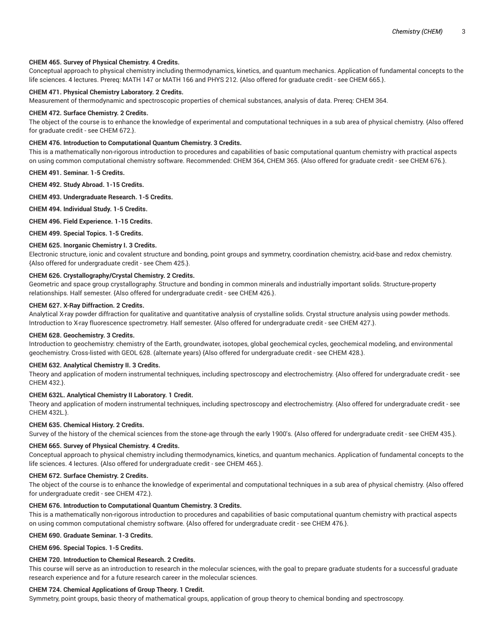## **CHEM 465. Survey of Physical Chemistry. 4 Credits.**

Conceptual approach to physical chemistry including thermodynamics, kinetics, and quantum mechanics. Application of fundamental concepts to the life sciences. 4 lectures. Prereq: MATH 147 or MATH 166 and PHYS 212. {Also offered for graduate credit - see CHEM 665.}.

# **CHEM 471. Physical Chemistry Laboratory. 2 Credits.**

Measurement of thermodynamic and spectroscopic properties of chemical substances, analysis of data. Prereq: CHEM 364.

## **CHEM 472. Surface Chemistry. 2 Credits.**

The object of the course is to enhance the knowledge of experimental and computational techniques in a sub area of physical chemistry. {Also offered for graduate credit - see CHEM 672.}.

# **CHEM 476. Introduction to Computational Quantum Chemistry. 3 Credits.**

This is a mathematically non-rigorous introduction to procedures and capabilities of basic computational quantum chemistry with practical aspects on using common computational chemistry software. Recommended: CHEM 364, CHEM 365. {Also offered for graduate credit - see CHEM 676.}.

**CHEM 491. Seminar. 1-5 Credits.**

**CHEM 492. Study Abroad. 1-15 Credits.**

**CHEM 493. Undergraduate Research. 1-5 Credits.**

**CHEM 494. Individual Study. 1-5 Credits.**

**CHEM 496. Field Experience. 1-15 Credits.**

**CHEM 499. Special Topics. 1-5 Credits.**

## **CHEM 625. Inorganic Chemistry I. 3 Credits.**

Electronic structure, ionic and covalent structure and bonding, point groups and symmetry, coordination chemistry, acid-base and redox chemistry. {Also offered for undergraduate credit - see Chem 425.}.

# **CHEM 626. Crystallography/Crystal Chemistry. 2 Credits.**

Geometric and space group crystallography. Structure and bonding in common minerals and industrially important solids. Structure-property relationships. Half semester. {Also offered for undergraduate credit - see CHEM 426.}.

## **CHEM 627. X-Ray Diffraction. 2 Credits.**

Analytical X-ray powder diffraction for qualitative and quantitative analysis of crystalline solids. Crystal structure analysis using powder methods. Introduction to X-ray fluorescence spectrometry. Half semester. {Also offered for undergraduate credit - see CHEM 427.}.

#### **CHEM 628. Geochemistry. 3 Credits.**

Introduction to geochemistry: chemistry of the Earth, groundwater, isotopes, global geochemical cycles, geochemical modeling, and environmental geochemistry. Cross-listed with GEOL 628. (alternate years) {Also offered for undergraduate credit - see CHEM 428.}.

## **CHEM 632. Analytical Chemistry II. 3 Credits.**

Theory and application of modern instrumental techniques, including spectroscopy and electrochemistry. {Also offered for undergraduate credit - see CHEM 432.}.

## **CHEM 632L. Analytical Chemistry II Laboratory. 1 Credit.**

Theory and application of modern instrumental techniques, including spectroscopy and electrochemistry. {Also offered for undergraduate credit - see CHEM 432L.}.

## **CHEM 635. Chemical History. 2 Credits.**

Survey of the history of the chemical sciences from the stone-age through the early 1900's. {Also offered for undergraduate credit - see CHEM 435.}.

## **CHEM 665. Survey of Physical Chemistry. 4 Credits.**

Conceptual approach to physical chemistry including thermodynamics, kinetics, and quantum mechanics. Application of fundamental concepts to the life sciences. 4 lectures. {Also offered for undergraduate credit - see CHEM 465.}.

## **CHEM 672. Surface Chemistry. 2 Credits.**

The object of the course is to enhance the knowledge of experimental and computational techniques in a sub area of physical chemistry. {Also offered for undergraduate credit - see CHEM 472.}.

# **CHEM 676. Introduction to Computational Quantum Chemistry. 3 Credits.**

This is a mathematically non-rigorous introduction to procedures and capabilities of basic computational quantum chemistry with practical aspects on using common computational chemistry software. {Also offered for undergraduate credit - see CHEM 476.}.

## **CHEM 690. Graduate Seminar. 1-3 Credits.**

**CHEM 696. Special Topics. 1-5 Credits.**

## **CHEM 720. Introduction to Chemical Research. 2 Credits.**

This course will serve as an introduction to research in the molecular sciences, with the goal to prepare graduate students for a successful graduate research experience and for a future research career in the molecular sciences.

## **CHEM 724. Chemical Applications of Group Theory. 1 Credit.**

Symmetry, point groups, basic theory of mathematical groups, application of group theory to chemical bonding and spectroscopy.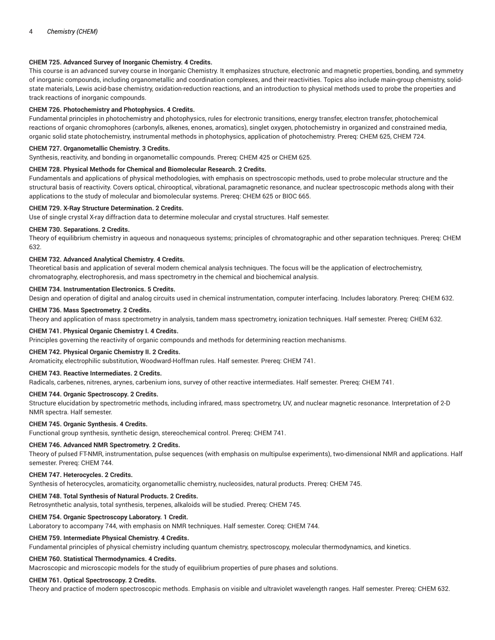## **CHEM 725. Advanced Survey of Inorganic Chemistry. 4 Credits.**

This course is an advanced survey course in Inorganic Chemistry. It emphasizes structure, electronic and magnetic properties, bonding, and symmetry of inorganic compounds, including organometallic and coordination complexes, and their reactivities. Topics also include main-group chemistry, solidstate materials, Lewis acid-base chemistry, oxidation-reduction reactions, and an introduction to physical methods used to probe the properties and track reactions of inorganic compounds.

## **CHEM 726. Photochemistry and Photophysics. 4 Credits.**

Fundamental principles in photochemistry and photophysics, rules for electronic transitions, energy transfer, electron transfer, photochemical reactions of organic chromophores (carbonyls, alkenes, enones, aromatics), singlet oxygen, photochemistry in organized and constrained media, organic solid state photochemistry, instrumental methods in photophysics, application of photochemistry. Prereq: CHEM 625, CHEM 724.

## **CHEM 727. Organometallic Chemistry. 3 Credits.**

Synthesis, reactivity, and bonding in organometallic compounds. Prereq: CHEM 425 or CHEM 625.

## **CHEM 728. Physical Methods for Chemical and Biomolecular Research. 2 Credits.**

Fundamentals and applications of physical methodologies, with emphasis on spectroscopic methods, used to probe molecular structure and the structural basis of reactivity. Covers optical, chirooptical, vibrational, paramagnetic resonance, and nuclear spectroscopic methods along with their applications to the study of molecular and biomolecular systems. Prereq: CHEM 625 or BIOC 665.

## **CHEM 729. X-Ray Structure Determination. 2 Credits.**

Use of single crystal X-ray diffraction data to determine molecular and crystal structures. Half semester.

## **CHEM 730. Separations. 2 Credits.**

Theory of equilibrium chemistry in aqueous and nonaqueous systems; principles of chromatographic and other separation techniques. Prereq: CHEM 632.

## **CHEM 732. Advanced Analytical Chemistry. 4 Credits.**

Theoretical basis and application of several modern chemical analysis techniques. The focus will be the application of electrochemistry, chromatography, electrophoresis, and mass spectrometry in the chemical and biochemical analysis.

## **CHEM 734. Instrumentation Electronics. 5 Credits.**

Design and operation of digital and analog circuits used in chemical instrumentation, computer interfacing. Includes laboratory. Prereq: CHEM 632.

## **CHEM 736. Mass Spectrometry. 2 Credits.**

Theory and application of mass spectrometry in analysis, tandem mass spectrometry, ionization techniques. Half semester. Prereq: CHEM 632.

## **CHEM 741. Physical Organic Chemistry I. 4 Credits.**

Principles governing the reactivity of organic compounds and methods for determining reaction mechanisms.

## **CHEM 742. Physical Organic Chemistry II. 2 Credits.**

Aromaticity, electrophilic substitution, Woodward-Hoffman rules. Half semester. Prereq: CHEM 741.

## **CHEM 743. Reactive Intermediates. 2 Credits.**

Radicals, carbenes, nitrenes, arynes, carbenium ions, survey of other reactive intermediates. Half semester. Prereq: CHEM 741.

# **CHEM 744. Organic Spectroscopy. 2 Credits.**

Structure elucidation by spectrometric methods, including infrared, mass spectrometry, UV, and nuclear magnetic resonance. Interpretation of 2-D NMR spectra. Half semester.

## **CHEM 745. Organic Synthesis. 4 Credits.**

Functional group synthesis, synthetic design, stereochemical control. Prereq: CHEM 741.

## **CHEM 746. Advanced NMR Spectrometry. 2 Credits.**

Theory of pulsed FT-NMR, instrumentation, pulse sequences (with emphasis on multipulse experiments), two-dimensional NMR and applications. Half semester. Prereq: CHEM 744.

#### **CHEM 747. Heterocycles. 2 Credits.**

Synthesis of heterocycles, aromaticity, organometallic chemistry, nucleosides, natural products. Prereq: CHEM 745.

## **CHEM 748. Total Synthesis of Natural Products. 2 Credits.**

Retrosynthetic analysis, total synthesis, terpenes, alkaloids will be studied. Prereq: CHEM 745.

## **CHEM 754. Organic Spectroscopy Laboratory. 1 Credit.**

Laboratory to accompany 744, with emphasis on NMR techniques. Half semester. Coreq: CHEM 744.

## **CHEM 759. Intermediate Physical Chemistry. 4 Credits.**

Fundamental principles of physical chemistry including quantum chemistry, spectroscopy, molecular thermodynamics, and kinetics.

# **CHEM 760. Statistical Thermodynamics. 4 Credits.**

Macroscopic and microscopic models for the study of equilibrium properties of pure phases and solutions.

## **CHEM 761. Optical Spectroscopy. 2 Credits.**

Theory and practice of modern spectroscopic methods. Emphasis on visible and ultraviolet wavelength ranges. Half semester. Prereq: CHEM 632.